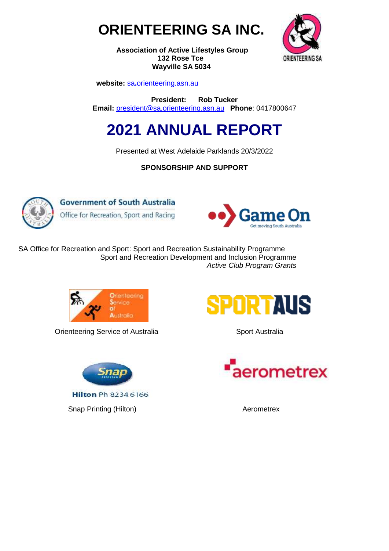



**Association of Active Lifestyles Group 132 Rose Tce Wayville SA 5034**

 **website:** sa**.**[orienteering.asn.au](http://www.sa.orienteering.asn.au/)

**President: Rob Tucker Email:** [president@sa.orienteering.asn.au](mailto:president@sa.orienteering.asn.au) **Phone**: 0417800647

# **2021 ANNUAL REPORT**

Presented at West Adelaide Parklands 20/3/2022

**SPONSORSHIP AND SUPPORT**



**Government of South Australia** 

Office for Recreation, Sport and Racing



SA Office for Recreation and Sport: Sport and Recreation Sustainability Programme Sport and Recreation Development and Inclusion Programme  *Active Club Program Grants*



**Orienteering Service of Australia** *Sport Australia* 



**Hilton Ph 8234 6166** 

Snap Printing (Hilton) and Aerometrex



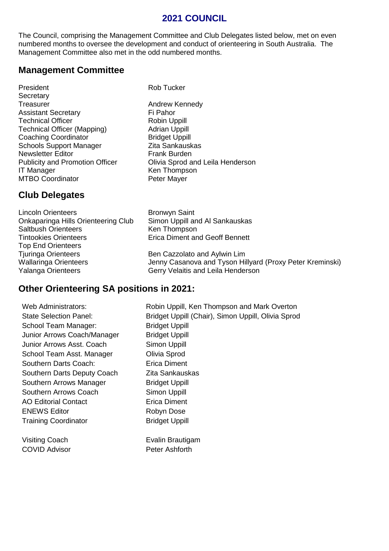## **2021 COUNCIL**

The Council, comprising the Management Committee and Club Delegates listed below, met on even numbered months to oversee the development and conduct of orienteering in South Australia. The Management Committee also met in the odd numbered months.

## **Management Committee**

President **Rob** Tucker **Secretary** Treasurer **Andrew Kennedy** Assistant Secretary **Fi** Pahor Technical Officer **Technical Officer Robin Uppill** Technical Officer (Mapping) **Adrian Uppill** Coaching Coordinator **Bridget Uppill** Schools Support Manager Zita Sankauskas Newsletter Editor **Frank Burden** IT Manager **Ken Thompson** MTBO Coordinator **Peter Mayer** 

## **Club Delegates**

Lincoln Orienteers **Bronwyn Saint** Onkaparinga Hills Orienteering Club Simon Uppill and Al Sankauskas Saltbush Orienteers Ken Thompson Tintookies Orienteers Erica Diment and Geoff Bennett Top End Orienteers Tjuringa Orienteers **Ben Cazzolato and Aylwin Lim** 

Publicity and Promotion Officer **Olivia Sprod and Leila Henderson** 

Wallaringa Orienteers Jenny Casanova and Tyson Hillyard (Proxy Peter Kreminski) Yalanga Orienteers **Gerry Velaitis and Leila Henderson** 

## **Other Orienteering SA positions in 2021:**

School Team Manager: Bridget Uppill Junior Arrows Coach/Manager Bridget Uppill Junior Arrows Asst. Coach Simon Uppill School Team Asst. Manager **Olivia Sprod** Southern Darts Coach: Erica Diment Southern Darts Deputy Coach Zita Sankauskas Southern Arrows Manager Bridget Uppill Southern Arrows Coach AO Editorial Contact ENEWS Editor Training Coordinator

Visiting Coach COVID Advisor

Web Administrators: Robin Uppill, Ken Thompson and Mark Overton State Selection Panel: Bridget Uppill (Chair), Simon Uppill, Olivia Sprod Simon Uppill Erica Diment Robyn Dose Bridget Uppill Evalin Brautigam

Peter Ashforth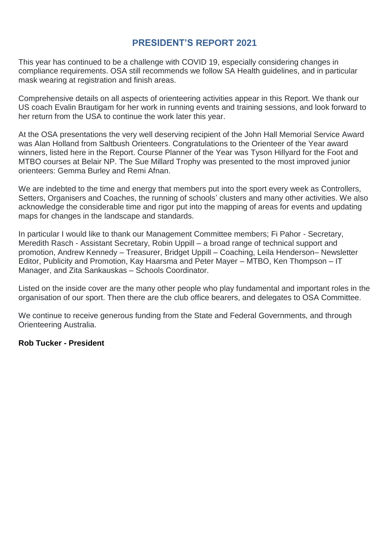## **PRESIDENT'S REPORT 2021**

This year has continued to be a challenge with COVID 19, especially considering changes in compliance requirements. OSA still recommends we follow SA Health guidelines, and in particular mask wearing at registration and finish areas.

Comprehensive details on all aspects of orienteering activities appear in this Report. We thank our US coach Evalin Brautigam for her work in running events and training sessions, and look forward to her return from the USA to continue the work later this year.

At the OSA presentations the very well deserving recipient of the John Hall Memorial Service Award was Alan Holland from Saltbush Orienteers. Congratulations to the Orienteer of the Year award winners, listed here in the Report. Course Planner of the Year was Tyson Hillyard for the Foot and MTBO courses at Belair NP. The Sue Millard Trophy was presented to the most improved junior orienteers: Gemma Burley and Remi Afnan.

We are indebted to the time and energy that members put into the sport every week as Controllers, Setters, Organisers and Coaches, the running of schools' clusters and many other activities. We also acknowledge the considerable time and rigor put into the mapping of areas for events and updating maps for changes in the landscape and standards.

In particular I would like to thank our Management Committee members; Fi Pahor - Secretary, Meredith Rasch - Assistant Secretary, Robin Uppill – a broad range of technical support and promotion, Andrew Kennedy – Treasurer, Bridget Uppill – Coaching, Leila Henderson– Newsletter Editor, Publicity and Promotion, Kay Haarsma and Peter Mayer – MTBO, Ken Thompson – IT Manager, and Zita Sankauskas – Schools Coordinator.

Listed on the inside cover are the many other people who play fundamental and important roles in the organisation of our sport. Then there are the club office bearers, and delegates to OSA Committee.

We continue to receive generous funding from the State and Federal Governments, and through Orienteering Australia.

#### **Rob Tucker - President**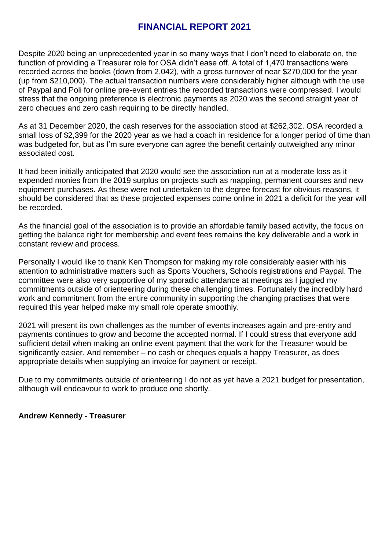## **FINANCIAL REPORT 2021**

Despite 2020 being an unprecedented year in so many ways that I don't need to elaborate on, the function of providing a Treasurer role for OSA didn't ease off. A total of 1,470 transactions were recorded across the books (down from 2,042), with a gross turnover of near \$270,000 for the year (up from \$210,000). The actual transaction numbers were considerably higher although with the use of Paypal and Poli for online pre-event entries the recorded transactions were compressed. I would stress that the ongoing preference is electronic payments as 2020 was the second straight year of zero cheques and zero cash requiring to be directly handled.

As at 31 December 2020, the cash reserves for the association stood at \$262,302. OSA recorded a small loss of \$2,399 for the 2020 year as we had a coach in residence for a longer period of time than was budgeted for, but as I'm sure everyone can agree the benefit certainly outweighed any minor associated cost.

It had been initially anticipated that 2020 would see the association run at a moderate loss as it expended monies from the 2019 surplus on projects such as mapping, permanent courses and new equipment purchases. As these were not undertaken to the degree forecast for obvious reasons, it should be considered that as these projected expenses come online in 2021 a deficit for the year will be recorded.

As the financial goal of the association is to provide an affordable family based activity, the focus on getting the balance right for membership and event fees remains the key deliverable and a work in constant review and process.

Personally I would like to thank Ken Thompson for making my role considerably easier with his attention to administrative matters such as Sports Vouchers, Schools registrations and Paypal. The committee were also very supportive of my sporadic attendance at meetings as I juggled my commitments outside of orienteering during these challenging times. Fortunately the incredibly hard work and commitment from the entire community in supporting the changing practises that were required this year helped make my small role operate smoothly.

2021 will present its own challenges as the number of events increases again and pre-entry and payments continues to grow and become the accepted normal. If I could stress that everyone add sufficient detail when making an online event payment that the work for the Treasurer would be significantly easier. And remember – no cash or cheques equals a happy Treasurer, as does appropriate details when supplying an invoice for payment or receipt.

Due to my commitments outside of orienteering I do not as yet have a 2021 budget for presentation, although will endeavour to work to produce one shortly.

#### **Andrew Kennedy - Treasurer**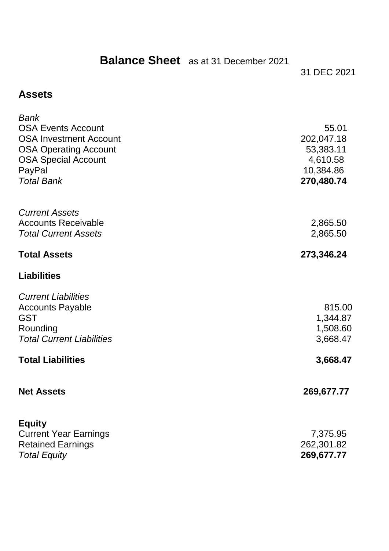## **Balance Sheet** as at 31 December 2021

31 DEC 2021

## **Assets**

| Bank<br><b>OSA Events Account</b><br><b>OSA Investment Account</b><br><b>OSA Operating Account</b><br><b>OSA Special Account</b><br>PayPal<br><b>Total Bank</b> | 55.01<br>202,047.18<br>53,383.11<br>4,610.58<br>10,384.86<br>270,480.74 |
|-----------------------------------------------------------------------------------------------------------------------------------------------------------------|-------------------------------------------------------------------------|
| <b>Current Assets</b><br><b>Accounts Receivable</b><br><b>Total Current Assets</b>                                                                              | 2,865.50<br>2,865.50                                                    |
| <b>Total Assets</b>                                                                                                                                             | 273,346.24                                                              |
| <b>Liabilities</b>                                                                                                                                              |                                                                         |
| <b>Current Liabilities</b><br><b>Accounts Payable</b><br><b>GST</b><br>Rounding<br><b>Total Current Liabilities</b>                                             | 815.00<br>1,344.87<br>1,508.60<br>3,668.47                              |
| <b>Total Liabilities</b>                                                                                                                                        | 3,668.47                                                                |
| <b>Net Assets</b>                                                                                                                                               | 269,677.77                                                              |
| <b>Equity</b><br><b>Current Year Earnings</b><br><b>Retained Earnings</b><br><b>Total Equity</b>                                                                | 7,375.95<br>262,301.82<br>269,677.77                                    |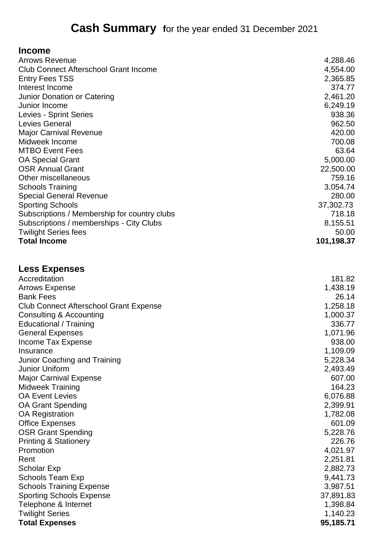## **Income**

| <b>Arrows Revenue</b>                         | 4,288.46   |
|-----------------------------------------------|------------|
| <b>Club Connect Afterschool Grant Income</b>  | 4,554.00   |
| <b>Entry Fees TSS</b>                         | 2,365.85   |
| Interest Income                               | 374.77     |
| Junior Donation or Catering                   | 2,461.20   |
| Junior Income                                 | 6,249.19   |
| Levies - Sprint Series                        | 938.36     |
| <b>Levies General</b>                         | 962.50     |
| <b>Major Carnival Revenue</b>                 | 420.00     |
| Midweek Income                                | 700.08     |
| <b>MTBO Event Fees</b>                        | 63.64      |
| <b>OA Special Grant</b>                       | 5,000.00   |
| <b>OSR Annual Grant</b>                       | 22,500.00  |
| Other miscellaneous                           | 759.16     |
| <b>Schools Training</b>                       | 3,054.74   |
| <b>Special General Revenue</b>                | 280.00     |
| <b>Sporting Schools</b>                       | 37,302.73  |
| Subscriptions / Membership for country clubs  | 718.18     |
| Subscriptions / memberships - City Clubs      | 8,155.51   |
| <b>Twilight Series fees</b>                   | 50.00      |
| <b>Total Income</b>                           | 101,198.37 |
| <b>Less Expenses</b>                          |            |
| Accreditation                                 | 181.82     |
| <b>Arrows Expense</b>                         | 1,438.19   |
| <b>Bank Fees</b>                              | 26.14      |
| <b>Club Connect Afterschool Grant Expense</b> | 1,258.18   |
| Consulting & Accounting                       | 1,000.37   |
| Educational / Training                        | 336.77     |
| <b>General Expenses</b>                       | 1,071.96   |
| Income Tax Expense                            | 938.00     |
| Insurance                                     | 1,109.09   |
| Junior Coaching and Training                  | 5,228.34   |
| <b>Junior Uniform</b>                         | 2,493.49   |
| <b>Major Carnival Expense</b>                 | 607.00     |
| <b>Midweek Training</b>                       | 164.23     |
| <b>OA Event Levies</b>                        | 6,076.88   |
| <b>OA Grant Spending</b>                      | 2,399.91   |
| <b>OA Registration</b>                        | 1,782.08   |
| <b>Office Expenses</b>                        | 601.09     |
| <b>OSR Grant Spending</b>                     | 5,228.76   |
| <b>Printing &amp; Stationery</b>              | 226.76     |
| Promotion                                     | 4,021.97   |
| Rent                                          | 2,251.81   |
| <b>Scholar Exp</b>                            | 2,882.73   |
| <b>Schools Team Exp</b>                       | 9,441.73   |
| <b>Schools Training Expense</b>               | 3,987.51   |
| <b>Sporting Schools Expense</b>               | 37,891.83  |
| Telephone & Internet                          | 1,398.84   |
| <b>Twilight Series</b>                        | 1,140.23   |
| <b>Total Expenses</b>                         | 95,185.71  |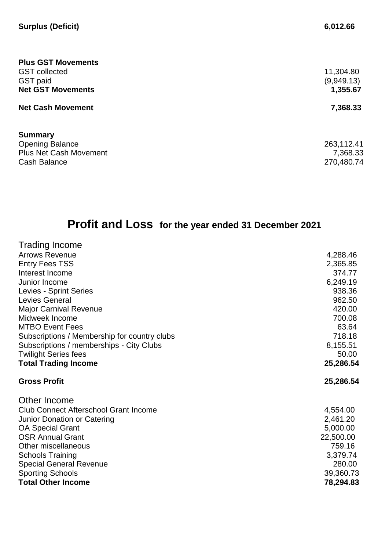| <b>Plus GST Movements</b><br><b>GST</b> collected<br><b>GST</b> paid<br><b>Net GST Movements</b> | 11,304.80<br>(9,949.13)<br>1,355.67  |
|--------------------------------------------------------------------------------------------------|--------------------------------------|
| <b>Net Cash Movement</b>                                                                         | 7,368.33                             |
| <b>Summary</b><br><b>Opening Balance</b><br><b>Plus Net Cash Movement</b><br><b>Cash Balance</b> | 263,112.41<br>7,368.33<br>270,480.74 |

## **Profit and Loss for the year ended 31 December 2021**

| Trading Income                               |           |
|----------------------------------------------|-----------|
| <b>Arrows Revenue</b>                        | 4,288.46  |
| <b>Entry Fees TSS</b>                        | 2,365.85  |
| Interest Income                              | 374.77    |
| Junior Income                                | 6,249.19  |
| Levies - Sprint Series                       | 938.36    |
| Levies General                               | 962.50    |
| Major Carnival Revenue                       | 420.00    |
| Midweek Income                               | 700.08    |
| <b>MTBO Event Fees</b>                       | 63.64     |
| Subscriptions / Membership for country clubs | 718.18    |
| Subscriptions / memberships - City Clubs     | 8,155.51  |
| <b>Twilight Series fees</b>                  | 50.00     |
| <b>Total Trading Income</b>                  | 25,286.54 |
| <b>Gross Profit</b>                          | 25,286.54 |
| Other Income                                 |           |
| <b>Club Connect Afterschool Grant Income</b> | 4,554.00  |
| Junior Donation or Catering                  | 2,461.20  |
| <b>OA Special Grant</b>                      | 5,000.00  |
| <b>OSR Annual Grant</b>                      | 22,500.00 |
| Other miscellaneous                          | 759.16    |
| <b>Schools Training</b>                      | 3,379.74  |
| <b>Special General Revenue</b>               | 280.00    |
| <b>Sporting Schools</b>                      | 39,360.73 |
| <b>Total Other Income</b>                    | 78,294.83 |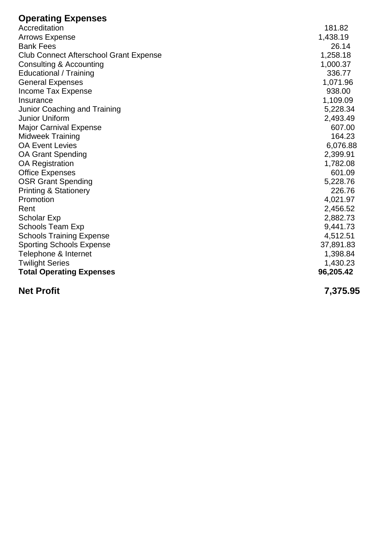## **Operating Expenses**

| <b>Net Profit</b>                                        | 7,375.95           |
|----------------------------------------------------------|--------------------|
| <b>Total Operating Expenses</b>                          | 96,205.42          |
| <b>Twilight Series</b>                                   | 1,430.23           |
| Telephone & Internet                                     | 1,398.84           |
| <b>Sporting Schools Expense</b>                          | 37,891.83          |
| <b>Schools Training Expense</b>                          | 4,512.51           |
| <b>Schools Team Exp</b>                                  | 9,441.73           |
| <b>Scholar Exp</b>                                       | 2,882.73           |
| Rent                                                     | 2,456.52           |
| Promotion                                                | 4,021.97           |
| <b>Printing &amp; Stationery</b>                         | 226.76             |
| <b>OSR Grant Spending</b>                                | 5,228.76           |
| <b>Office Expenses</b>                                   | 601.09             |
| <b>OA Registration</b>                                   | 1,782.08           |
| <b>OA Grant Spending</b>                                 | 2,399.91           |
| <b>OA Event Levies</b>                                   | 6,076.88           |
| Midweek Training                                         | 164.23             |
| <b>Major Carnival Expense</b>                            | 607.00             |
| Junior Uniform                                           | 2,493.49           |
| Junior Coaching and Training                             | 5,228.34           |
| Insurance                                                | 1,109.09           |
| Income Tax Expense                                       | 938.00             |
| <b>Educational / Training</b><br><b>General Expenses</b> | 1,071.96           |
| Consulting & Accounting                                  | 1,000.37<br>336.77 |
| <b>Club Connect Afterschool Grant Expense</b>            | 1,258.18           |
| <b>Bank Fees</b>                                         | 26.14              |
| <b>Arrows Expense</b>                                    | 1,438.19           |
| Accreditation                                            | 181.82             |
| οραιαιτιγ ∟νραιτος ο                                     |                    |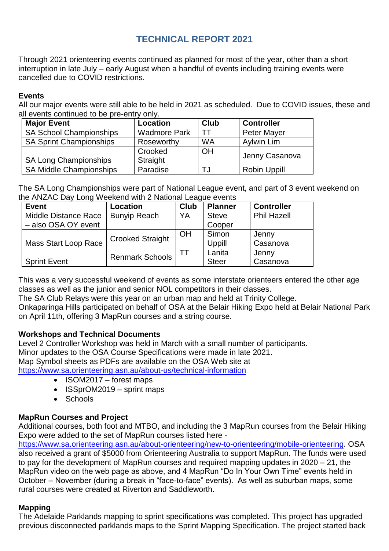## **TECHNICAL REPORT 2021**

Through 2021 orienteering events continued as planned for most of the year, other than a short interruption in late July – early August when a handful of events including training events were cancelled due to COVID restrictions.

#### **Events**

All our major events were still able to be held in 2021 as scheduled. Due to COVID issues, these and all events continued to be pre-entry only.

| <b>Major Event</b>             | Location            | <b>Club</b> | <b>Controller</b>   |
|--------------------------------|---------------------|-------------|---------------------|
| <b>SA School Championships</b> | <b>Wadmore Park</b> |             | <b>Peter Mayer</b>  |
| <b>SA Sprint Championships</b> | Roseworthy          | <b>WA</b>   | Aylwin Lim          |
|                                | Crooked             | OH          |                     |
| <b>SA Long Championships</b>   | Straight            |             | Jenny Casanova      |
| <b>SA Middle Championships</b> | Paradise            |             | <b>Robin Uppill</b> |

The SA Long Championships were part of National League event, and part of 3 event weekend on the ANZAC Day Long Weekend with 2 National League events

| <b>Event</b>                | Location                | Club | <b>Planner</b> | <b>Controller</b>  |
|-----------------------------|-------------------------|------|----------------|--------------------|
| <b>Middle Distance Race</b> | <b>Bunyip Reach</b>     | YA   | <b>Steve</b>   | <b>Phil Hazell</b> |
| - also OSA OY event         |                         |      | Cooper         |                    |
|                             |                         | OH   | Simon          | Jenny              |
| <b>Mass Start Loop Race</b> | <b>Crooked Straight</b> |      | <b>Uppill</b>  | Casanova           |
|                             | <b>Renmark Schools</b>  |      | Lanita         | Jenny              |
| <b>Sprint Event</b>         |                         |      | <b>Steer</b>   | Casanova           |

This was a very successful weekend of events as some interstate orienteers entered the other age classes as well as the junior and senior NOL competitors in their classes.

The SA Club Relays were this year on an urban map and held at Trinity College.

Onkaparinga Hills participated on behalf of OSA at the Belair Hiking Expo held at Belair National Park on April 11th, offering 3 MapRun courses and a string course.

#### **Workshops and Technical Documents**

Level 2 Controller Workshop was held in March with a small number of participants. Minor updates to the OSA Course Specifications were made in late 2021. Map Symbol sheets as PDFs are available on the OSA Web site at <https://www.sa.orienteering.asn.au/about-us/technical-information>

- ISOM2017 forest maps
- $\bullet$  ISSprOM2019 sprint maps
- Schools

#### **MapRun Courses and Project**

Additional courses, both foot and MTBO, and including the 3 MapRun courses from the Belair Hiking Expo were added to the set of MapRun courses listed here -

[https://www.sa.orienteering.asn.au/about-orienteering/new-to-orienteering/mobile-orienteering.](https://www.sa.orienteering.asn.au/about-orienteering/new-to-orienteering/mobile-orienteering) OSA also received a grant of \$5000 from Orienteering Australia to support MapRun. The funds were used to pay for the development of MapRun courses and required mapping updates in 2020 – 21, the MapRun video on the web page as above, and 4 MapRun "Do In Your Own Time" events held in October – November (during a break in "face-to-face" events). As well as suburban maps, some rural courses were created at Riverton and Saddleworth.

#### **Mapping**

The Adelaide Parklands mapping to sprint specifications was completed. This project has upgraded previous disconnected parklands maps to the Sprint Mapping Specification. The project started back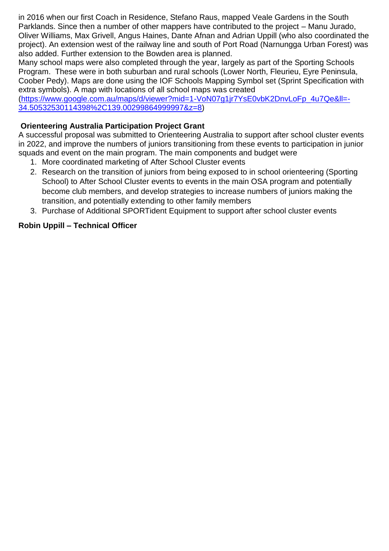in 2016 when our first Coach in Residence, Stefano Raus, mapped Veale Gardens in the South Parklands. Since then a number of other mappers have contributed to the project – Manu Jurado, Oliver Williams, Max Grivell, Angus Haines, Dante Afnan and Adrian Uppill (who also coordinated the project). An extension west of the railway line and south of Port Road (Narnungga Urban Forest) was also added. Further extension to the Bowden area is planned.

Many school maps were also completed through the year, largely as part of the Sporting Schools Program. These were in both suburban and rural schools (Lower North, Fleurieu, Eyre Peninsula, Coober Pedy). Maps are done using the IOF Schools Mapping Symbol set (Sprint Specification with extra symbols). A map with locations of all school maps was created

[\(https://www.google.com.au/maps/d/viewer?mid=1-VoN07g1jr7YsE0vbK2DnvLoFp\\_4u7Qe&ll=-](https://www.google.com.au/maps/d/viewer?mid=1-VoN07g1jr7YsE0vbK2DnvLoFp_4u7Qe&ll=-34.50532530114398%2C139.00299864999997&z=8) [34.50532530114398%2C139.00299864999997&z=8\)](https://www.google.com.au/maps/d/viewer?mid=1-VoN07g1jr7YsE0vbK2DnvLoFp_4u7Qe&ll=-34.50532530114398%2C139.00299864999997&z=8)

#### **Orienteering Australia Participation Project Grant**

A successful proposal was submitted to Orienteering Australia to support after school cluster events in 2022, and improve the numbers of juniors transitioning from these events to participation in junior squads and event on the main program. The main components and budget were

- 1. More coordinated marketing of After School Cluster events
- 2. Research on the transition of juniors from being exposed to in school orienteering (Sporting School) to After School Cluster events to events in the main OSA program and potentially become club members, and develop strategies to increase numbers of juniors making the transition, and potentially extending to other family members
- 3. Purchase of Additional SPORTident Equipment to support after school cluster events

#### **Robin Uppill – Technical Officer**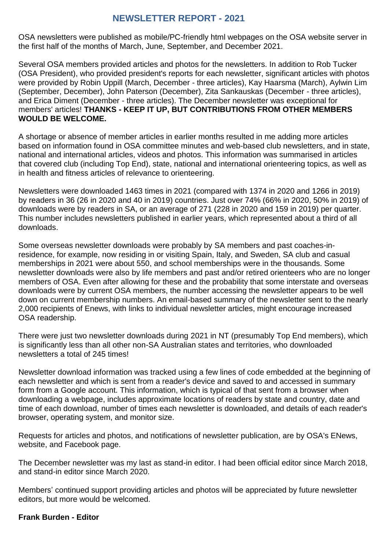#### **NEWSLETTER REPORT - 2021**

OSA newsletters were published as mobile/PC-friendly html webpages on the OSA website server in the first half of the months of March, June, September, and December 2021.

Several OSA members provided articles and photos for the newsletters. In addition to Rob Tucker (OSA President), who provided president's reports for each newsletter, significant articles with photos were provided by Robin Uppill (March, December - three articles), Kay Haarsma (March), Aylwin Lim (September, December), John Paterson (December), Zita Sankauskas (December - three articles), and Erica Diment (December - three articles). The December newsletter was exceptional for members' articles! **THANKS - KEEP IT UP, BUT CONTRIBUTIONS FROM OTHER MEMBERS WOULD BE WELCOME.**

A shortage or absence of member articles in earlier months resulted in me adding more articles based on information found in OSA committee minutes and web-based club newsletters, and in state, national and international articles, videos and photos. This information was summarised in articles that covered club (including Top End), state, national and international orienteering topics, as well as in health and fitness articles of relevance to orienteering.

Newsletters were downloaded 1463 times in 2021 (compared with 1374 in 2020 and 1266 in 2019) by readers in 36 (26 in 2020 and 40 in 2019) countries. Just over 74% (66% in 2020, 50% in 2019) of downloads were by readers in SA, or an average of 271 (228 in 2020 and 159 in 2019) per quarter. This number includes newsletters published in earlier years, which represented about a third of all downloads.

Some overseas newsletter downloads were probably by SA members and past coaches-inresidence, for example, now residing in or visiting Spain, Italy, and Sweden, SA club and casual memberships in 2021 were about 550, and school memberships were in the thousands. Some newsletter downloads were also by life members and past and/or retired orienteers who are no longer members of OSA. Even after allowing for these and the probability that some interstate and overseas downloads were by current OSA members, the number accessing the newsletter appears to be well down on current membership numbers. An email-based summary of the newsletter sent to the nearly 2,000 recipients of Enews, with links to individual newsletter articles, might encourage increased OSA readership.

There were just two newsletter downloads during 2021 in NT (presumably Top End members), which is significantly less than all other non-SA Australian states and territories, who downloaded newsletters a total of 245 times!

Newsletter download information was tracked using a few lines of code embedded at the beginning of each newsletter and which is sent from a reader's device and saved to and accessed in summary form from a Google account. This information, which is typical of that sent from a browser when downloading a webpage, includes approximate locations of readers by state and country, date and time of each download, number of times each newsletter is downloaded, and details of each reader's browser, operating system, and monitor size.

Requests for articles and photos, and notifications of newsletter publication, are by OSA's ENews, website, and Facebook page.

The December newsletter was my last as stand-in editor. I had been official editor since March 2018, and stand-in editor since March 2020.

Members' continued support providing articles and photos will be appreciated by future newsletter editors, but more would be welcomed.

#### **Frank Burden - Editor**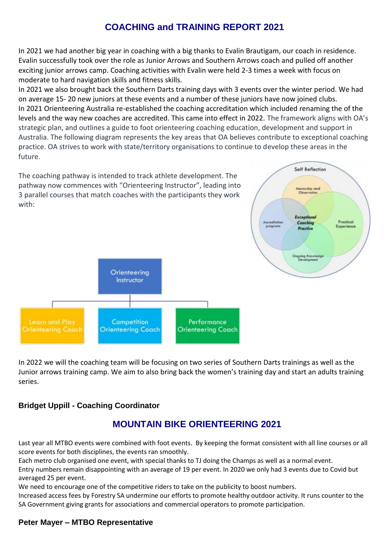## **COACHING and TRAINING REPORT 2021**

In 2021 we had another big year in coaching with a big thanks to Evalin Brautigam, our coach in residence. Evalin successfully took over the role as Junior Arrows and Southern Arrows coach and pulled off another exciting junior arrows camp. Coaching activities with Evalin were held 2-3 times a week with focus on moderate to hard navigation skills and fitness skills.

In 2021 we also brought back the Southern Darts training days with 3 events over the winter period. We had on average 15- 20 new juniors at these events and a number of these juniors have now joined clubs. In 2021 Orienteering Australia re-established the coaching accreditation which included renaming the of the levels and the way new coaches are accredited. This came into effect in 2022. The framework aligns with OA's strategic plan, and outlines a guide to foot orienteering coaching education, development and support in Australia. The following diagram represents the key areas that OA believes contribute to exceptional coaching practice. OA strives to work with state/territory organisations to continue to develop these areas in the future.



In 2022 we will the coaching team will be focusing on two series of Southern Darts trainings as well as the Junior arrows training camp. We aim to also bring back the women's training day and start an adults training series.

#### **Bridget Uppill - Coaching Coordinator**

## **MOUNTAIN BIKE ORIENTEERING 2021**

Last year all MTBO events were combined with foot events. By keeping the format consistent with all line courses or all score events for both disciplines, the events ran smoothly.

Each metro club organised one event, with special thanks to TJ doing the Champs as well as a normal event.

Entry numbers remain disappointing with an average of 19 per event. In 2020 we only had 3 events due to Covid but averaged 25 per event.

We need to encourage one of the competitive riders to take on the publicity to boost numbers.

Increased access fees by Forestry SA undermine our efforts to promote healthy outdoor activity. It runs counter to the SA Government giving grants for associations and commercial operators to promote participation.

#### **Peter Mayer – MTBO Representative**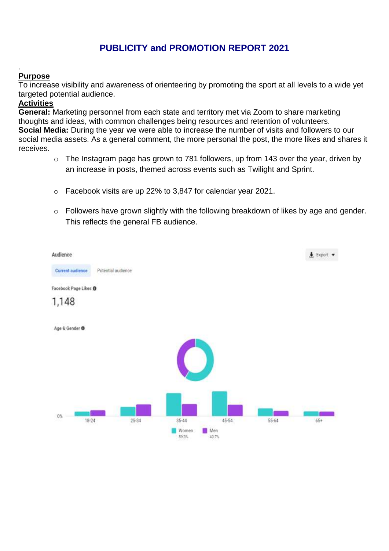## **PUBLICITY and PROMOTION REPORT 2021**

#### *.* **Purpose**

To increase visibility and awareness of orienteering by promoting the sport at all levels to a wide yet targeted potential audience.

#### **Activities**

**General:** Marketing personnel from each state and territory met via Zoom to share marketing thoughts and ideas, with common challenges being resources and retention of volunteers. **Social Media:** During the year we were able to increase the number of visits and followers to our social media assets. As a general comment, the more personal the post, the more likes and shares it receives.

- o The Instagram page has grown to 781 followers, up from 143 over the year, driven by an increase in posts, themed across events such as Twilight and Sprint.
- o Facebook visits are up 22% to 3,847 for calendar year 2021.
- o Followers have grown slightly with the following breakdown of likes by age and gender. This reflects the general FB audience.

![](_page_12_Figure_8.jpeg)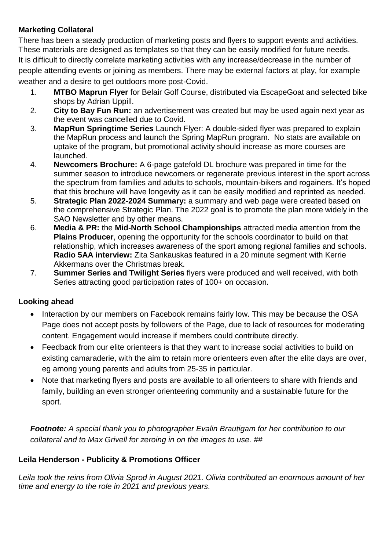#### **Marketing Collateral**

There has been a steady production of marketing posts and flyers to support events and activities. These materials are designed as templates so that they can be easily modified for future needs. It is difficult to directly correlate marketing activities with any increase/decrease in the number of people attending events or joining as members. There may be external factors at play, for example weather and a desire to get outdoors more post-Covid.

- 1. **MTBO Maprun Flyer** for Belair Golf Course, distributed via EscapeGoat and selected bike shops by Adrian Uppill.
- 2. **City to Bay Fun Run:** an advertisement was created but may be used again next year as the event was cancelled due to Covid.
- 3. **MapRun Springtime Series** Launch Flyer: A double-sided flyer was prepared to explain the MapRun process and launch the Spring MapRun program. No stats are available on uptake of the program, but promotional activity should increase as more courses are launched.
- 4. **Newcomers Brochure:** A 6-page gatefold DL brochure was prepared in time for the summer season to introduce newcomers or regenerate previous interest in the sport across the spectrum from families and adults to schools, mountain-bikers and rogainers. It's hoped that this brochure will have longevity as it can be easily modified and reprinted as needed.
- 5. **Strategic Plan 2022-2024 Summary:** a summary and web page were created based on the comprehensive Strategic Plan. The 2022 goal is to promote the plan more widely in the SAO Newsletter and by other means.
- 6. **Media & PR:** the **Mid-North School Championships** attracted media attention from the **Plains Producer**, opening the opportunity for the schools coordinator to build on that relationship, which increases awareness of the sport among regional families and schools. **Radio 5AA interview:** Zita Sankauskas featured in a 20 minute segment with Kerrie Akkermans over the Christmas break.
- 7. **Summer Series and Twilight Series** flyers were produced and well received, with both Series attracting good participation rates of 100+ on occasion.

#### **Looking ahead**

- Interaction by our members on Facebook remains fairly low. This may be because the OSA Page does not accept posts by followers of the Page, due to lack of resources for moderating content. Engagement would increase if members could contribute directly.
- Feedback from our elite orienteers is that they want to increase social activities to build on existing camaraderie, with the aim to retain more orienteers even after the elite days are over, eg among young parents and adults from 25-35 in particular.
- Note that marketing flyers and posts are available to all orienteers to share with friends and family, building an even stronger orienteering community and a sustainable future for the sport.

*Footnote: A special thank you to photographer Evalin Brautigam for her contribution to our collateral and to Max Grivell for zeroing in on the images to use. ##*

#### **Leila Henderson - Publicity & Promotions Officer**

*Leila took the reins from Olivia Sprod in August 2021. Olivia contributed an enormous amount of her time and energy to the role in 2021 and previous years.*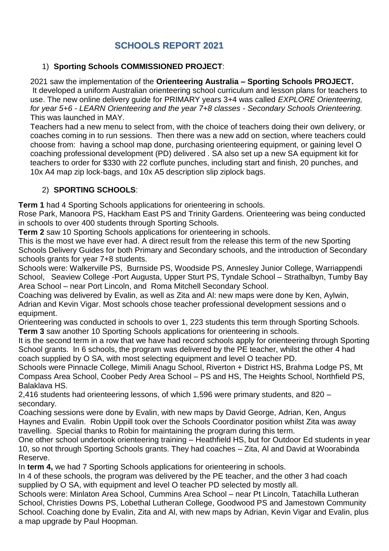## **SCHOOLS REPORT 2021**

#### 1) **Sporting Schools COMMISSIONED PROJECT**:

2021 saw the implementation of the **Orienteering Australia – Sporting Schools PROJECT.** It developed a uniform Australian orienteering school curriculum and lesson plans for teachers to use. The new online delivery guide for PRIMARY years 3+4 was called *EXPLORE Orienteering, for year 5+6 - LEARN Orienteering and the year 7+8 classes - Secondary Schools Orienteering.*  This was launched in MAY.

Teachers had a new menu to select from, with the choice of teachers doing their own delivery, or coaches coming in to run sessions. Then there was a new add on section, where teachers could choose from: having a school map done, purchasing orienteering equipment, or gaining level O coaching professional development (PD) delivered . SA also set up a new SA equipment kit for teachers to order for \$330 with 22 corflute punches, including start and finish, 20 punches, and 10x A4 map zip lock-bags, and 10x A5 description slip ziplock bags.

## 2) **SPORTING SCHOOLS**:

**Term 1** had 4 Sporting Schools applications for orienteering in schools.

Rose Park, Manoora PS, Hackham East PS and Trinity Gardens. Orienteering was being conducted in schools to over 400 students through Sporting Schools.

**Term 2** saw 10 Sporting Schools applications for orienteering in schools.

This is the most we have ever had. A direct result from the release this term of the new Sporting Schools Delivery Guides for both Primary and Secondary schools, and the introduction of Secondary schools grants for year 7+8 students.

Schools were: Walkerville PS, Burnside PS, Woodside PS, Annesley Junior College, Warriappendi School, Seaview College -Port Augusta, Upper Sturt PS, Tyndale School – Strathalbyn, Tumby Bay Area School – near Port Lincoln, and Roma Mitchell Secondary School.

Coaching was delivered by Evalin, as well as Zita and Al: new maps were done by Ken, Aylwin, Adrian and Kevin Vigar. Most schools chose teacher professional development sessions and o equipment.

Orienteering was conducted in schools to over 1, 223 students this term through Sporting Schools. **Term 3** saw another 10 Sporting Schools applications for orienteering in schools.

It is the second term in a row that we have had record schools apply for orienteering through Sporting School grants. In 6 schools, the program was delivered by the PE teacher, whilst the other 4 had coach supplied by O SA, with most selecting equipment and level O teacher PD.

Schools were Pinnacle College, Mimili Anagu School, Riverton + District HS, Brahma Lodge PS, Mt Compass Area School, Coober Pedy Area School – PS and HS, The Heights School, Northfield PS, Balaklava HS.

2,416 students had orienteering lessons, of which 1,596 were primary students, and 820 – secondary.

Coaching sessions were done by Evalin, with new maps by David George, Adrian, Ken, Angus Haynes and Evalin. Robin Uppill took over the Schools Coordinator position whilst Zita was away travelling. Special thanks to Robin for maintaining the program during this term.

One other school undertook orienteering training – Heathfield HS, but for Outdoor Ed students in year 10, so not through Sporting Schools grants. They had coaches – Zita, Al and David at Woorabinda Reserve.

In **term 4,** we had 7 Sporting Schools applications for orienteering in schools.

In 4 of these schools, the program was delivered by the PE teacher, and the other 3 had coach supplied by O SA, with equipment and level O teacher PD selected by mostly all.

Schools were: Minlaton Area School, Cummins Area School – near Pt Lincoln, Tatachilla Lutheran School, Christies Downs PS, Lobethal Lutheran College, Goodwood PS and Jamestown Community School. Coaching done by Evalin, Zita and Al, with new maps by Adrian, Kevin Vigar and Evalin, plus a map upgrade by Paul Hoopman.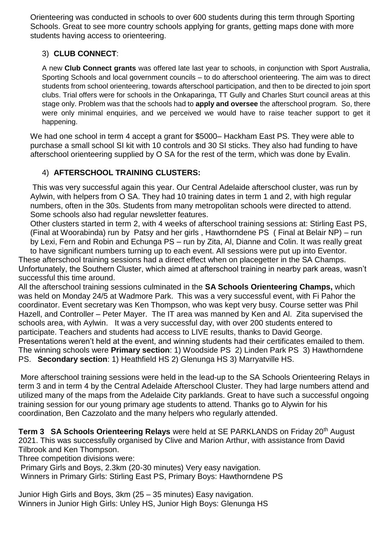Orienteering was conducted in schools to over 600 students during this term through Sporting Schools. Great to see more country schools applying for grants, getting maps done with more students having access to orienteering.

#### 3) **CLUB CONNECT**:

A new **Club Connect grants** was offered late last year to schools, in conjunction with Sport Australia, Sporting Schools and local government councils – to do afterschool orienteering. The aim was to direct students from school orienteering, towards afterschool participation, and then to be directed to join sport clubs. Trial offers were for schools in the Onkaparinga, TT Gully and Charles Sturt council areas at this stage only. Problem was that the schools had to **apply and oversee** the afterschool program. So, there were only minimal enquiries, and we perceived we would have to raise teacher support to get it happening.

We had one school in term 4 accept a grant for \$5000– Hackham East PS. They were able to purchase a small school SI kit with 10 controls and 30 SI sticks. They also had funding to have afterschool orienteering supplied by O SA for the rest of the term, which was done by Evalin.

#### 4) **AFTERSCHOOL TRAINING CLUSTERS:**

This was very successful again this year. Our Central Adelaide afterschool cluster, was run by Aylwin, with helpers from O SA. They had 10 training dates in term 1 and 2, with high regular numbers, often in the 30s. Students from many metropolitan schools were directed to attend. Some schools also had regular newsletter features.

Other clusters started in term 2, with 4 weeks of afterschool training sessions at: Stirling East PS, (Final at Woorabinda) run by Patsy and her girls , Hawthorndene PS ( Final at Belair NP) – run by Lexi, Fern and Robin and Echunga PS – run by Zita, Al, Dianne and Colin. It was really great

to have significant numbers turning up to each event. All sessions were put up into Eventor. These afterschool training sessions had a direct effect when on placegetter in the SA Champs. Unfortunately, the Southern Cluster, which aimed at afterschool training in nearby park areas, wasn't successful this time around.

All the afterschool training sessions culminated in the **SA Schools Orienteering Champs,** which was held on Monday 24/5 at Wadmore Park. This was a very successful event, with Fi Pahor the coordinator. Event secretary was Ken Thompson, who was kept very busy. Course setter was Phil Hazell, and Controller – Peter Mayer. The IT area was manned by Ken and Al. Zita supervised the schools area, with Aylwin. It was a very successful day, with over 200 students entered to participate. Teachers and students had access to LIVE results, thanks to David George. Presentations weren't held at the event, and winning students had their certificates emailed to them. The winning schools were **Primary section**: 1) Woodside PS 2) Linden Park PS 3) Hawthorndene PS. **Secondary section**: 1) Heathfield HS 2) Glenunga HS 3) Marryatville HS.

More afterschool training sessions were held in the lead-up to the SA Schools Orienteering Relays in term 3 and in term 4 by the Central Adelaide Afterschool Cluster. They had large numbers attend and utilized many of the maps from the Adelaide City parklands. Great to have such a successful ongoing training session for our young primary age students to attend. Thanks go to Alywin for his coordination, Ben Cazzolato and the many helpers who regularly attended.

**Term 3 SA Schools Orienteering Relays** were held at SE PARKLANDS on Friday 20<sup>th</sup> August 2021. This was successfully organised by Clive and Marion Arthur, with assistance from David Tilbrook and Ken Thompson.

Three competition divisions were:

Primary Girls and Boys, 2.3km (20-30 minutes) Very easy navigation.

Winners in Primary Girls: Stirling East PS, Primary Boys: Hawthorndene PS

Junior High Girls and Boys, 3km (25 – 35 minutes) Easy navigation. Winners in Junior High Girls: Unley HS, Junior High Boys: Glenunga HS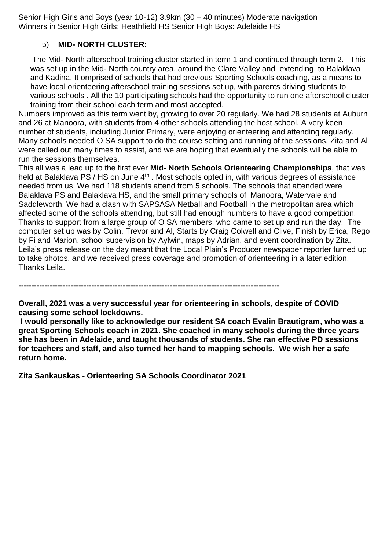Senior High Girls and Boys (year 10-12) 3.9km (30 – 40 minutes) Moderate navigation Winners in Senior High Girls: Heathfield HS Senior High Boys: Adelaide HS

#### 5) **MID- NORTH CLUSTER:**

The Mid- North afterschool training cluster started in term 1 and continued through term 2. This was set up in the Mid- North country area, around the Clare Valley and extending to Balaklava and Kadina. It omprised of schools that had previous Sporting Schools coaching, as a means to have local orienteering afterschool training sessions set up, with parents driving students to various schools . All the 10 participating schools had the opportunity to run one afterschool cluster training from their school each term and most accepted.

Numbers improved as this term went by, growing to over 20 regularly. We had 28 students at Auburn and 26 at Manoora, with students from 4 other schools attending the host school. A very keen number of students, including Junior Primary, were enjoying orienteering and attending regularly. Many schools needed O SA support to do the course setting and running of the sessions. Zita and Al were called out many times to assist, and we are hoping that eventually the schools will be able to run the sessions themselves.

This all was a lead up to the first ever **Mid- North Schools Orienteering Championships**, that was held at Balaklava PS / HS on June 4<sup>th</sup>. Most schools opted in, with various degrees of assistance needed from us. We had 118 students attend from 5 schools. The schools that attended were Balaklava PS and Balaklava HS, and the small primary schools of Manoora, Watervale and Saddleworth. We had a clash with SAPSASA Netball and Football in the metropolitan area which affected some of the schools attending, but still had enough numbers to have a good competition. Thanks to support from a large group of O SA members, who came to set up and run the day. The computer set up was by Colin, Trevor and Al, Starts by Craig Colwell and Clive, Finish by Erica, Rego by Fi and Marion, school supervision by Aylwin, maps by Adrian, and event coordination by Zita. Leila's press release on the day meant that the Local Plain's Producer newspaper reporter turned up to take photos, and we received press coverage and promotion of orienteering in a later edition. Thanks Leila.

----------------------------------------------------------------------------------------------------

**Overall, 2021 was a very successful year for orienteering in schools, despite of COVID causing some school lockdowns.**

**I would personally like to acknowledge our resident SA coach Evalin Brautigram, who was a great Sporting Schools coach in 2021. She coached in many schools during the three years she has been in Adelaide, and taught thousands of students. She ran effective PD sessions for teachers and staff, and also turned her hand to mapping schools. We wish her a safe return home.** 

**Zita Sankauskas - Orienteering SA Schools Coordinator 2021**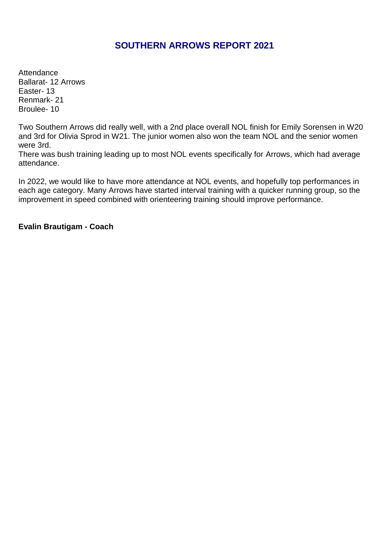## **SOUTHERN ARROWS REPORT 2021**

**Attendance** Ballarat- 12 Arrows Easter- 13 Renmark- 21 Broulee- 10

Two Southern Arrows did really well, with a 2nd place overall NOL finish for Emily Sorensen in W20 and 3rd for Olivia Sprod in W21. The junior women also won the team NOL and the senior women were 3rd.

There was bush training leading up to most NOL events specifically for Arrows, which had average attendance.

In 2022, we would like to have more attendance at NOL events, and hopefully top performances in each age category. Many Arrows have started interval training with a quicker running group, so the improvement in speed combined with orienteering training should improve performance.

**Evalin Brautigam - Coach**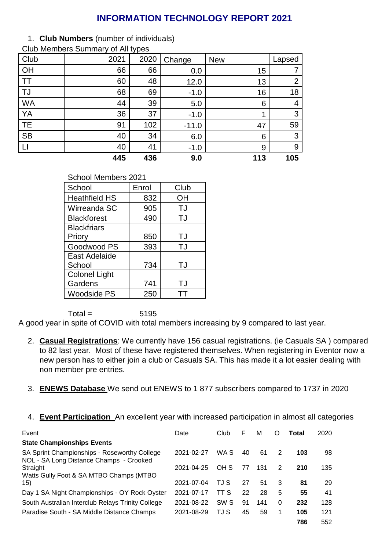## **INFORMATION TECHNOLOGY REPORT 2021**

1. **Club Numbers** (number of individuals)

|           |      | 7 F  |         |            |                |
|-----------|------|------|---------|------------|----------------|
| Club      | 2021 | 2020 | Change  | <b>New</b> | Lapsed         |
| OH        | 66   | 66   | 0.0     | 15         | 7              |
| <b>TT</b> | 60   | 48   | 12.0    | 13         | $\overline{2}$ |
| TJ        | 68   | 69   | $-1.0$  | 16         | 18             |
| <b>WA</b> | 44   | 39   | 5.0     | 6          | $\overline{4}$ |
| YA        | 36   | 37   | $-1.0$  | 1          | 3              |
| <b>TE</b> | 91   | 102  | $-11.0$ | 47         | 59             |
| <b>SB</b> | 40   | 34   | 6.0     | 6          | 3              |
| LI        | 40   | 41   | $-1.0$  | 9          | 9              |
|           | 445  | 436  | 9.0     | 113        | 105            |
|           |      |      |         |            |                |

Club Members Summary of All types

#### School Members 2021

| School               | Enrol | Club |
|----------------------|-------|------|
| <b>Heathfield HS</b> | 832   | ΟH   |
| Wirreanda SC         | 905   | TJ   |
| <b>Blackforest</b>   | 490   | TJ   |
| <b>Blackfriars</b>   |       |      |
| Priory               | 850   | TJ   |
| Goodwood PS          | 393   | TJ   |
| East Adelaide        |       |      |
| School               | 734   | TJ   |
| <b>Colonel Light</b> |       |      |
| Gardens              | 741   | TJ   |
| <b>Woodside PS</b>   | 250   |      |

 $Total = 5195$ 

A good year in spite of COVID with total members increasing by 9 compared to last year.

- 2. **Casual Registrations**: We currently have 156 casual registrations. (ie Casuals SA ) compared to 82 last year. Most of these have registered themselves. When registering in Eventor now a new person has to either join a club or Casuals SA. This has made it a lot easier dealing with non member pre entries.
- 3. **ENEWS Database** We send out ENEWS to 1 877 subscribers compared to 1737 in 2020
- 4. **Event Participation** An excellent year with increased participation in almost all categories

| Event                                                                                   | Date       | Club            | F  | м   | O | Total | 2020 |
|-----------------------------------------------------------------------------------------|------------|-----------------|----|-----|---|-------|------|
| <b>State Championships Events</b>                                                       |            |                 |    |     |   |       |      |
| SA Sprint Championships - Roseworthy College<br>NOL - SA Long Distance Champs - Crooked | 2021-02-27 | WA S            | 40 | 61  | 2 | 103   | 98   |
| Straight<br>Watts Gully Foot & SA MTBO Champs (MTBO                                     | 2021-04-25 | OH S            | 77 | 131 | 2 | 210   | 135  |
| 15)                                                                                     | 2021-07-04 | TJ S            | 27 | 51  | 3 | 81    | 29   |
| Day 1 SA Night Championships - OY Rock Oyster                                           | 2021-07-17 | TT S            | 22 | 28  | 5 | 55    | 41   |
| South Australian Interclub Relays Trinity College                                       | 2021-08-22 | SW <sub>S</sub> | 91 | 141 | 0 | 232   | 128  |
| Paradise South - SA Middle Distance Champs                                              | 2021-08-29 | TJ S            | 45 | 59  | 1 | 105   | 121  |
|                                                                                         |            |                 |    |     |   | 786   | 552  |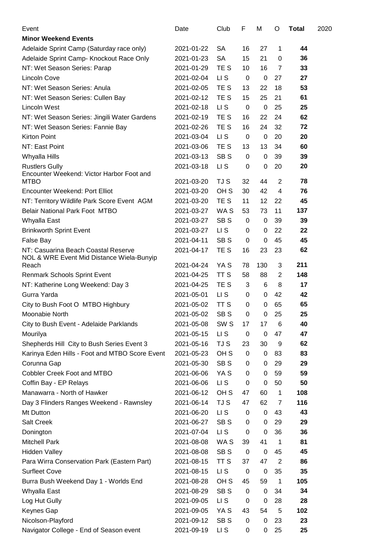| Event                                                                            | Date       | Club            | F  | M                | O              | <b>Total</b> | 2020 |
|----------------------------------------------------------------------------------|------------|-----------------|----|------------------|----------------|--------------|------|
| <b>Minor Weekend Events</b>                                                      |            |                 |    |                  |                |              |      |
| Adelaide Sprint Camp (Saturday race only)                                        | 2021-01-22 | <b>SA</b>       | 16 | 27               | 1              | 44           |      |
| Adelaide Sprint Camp- Knockout Race Only                                         | 2021-01-23 | <b>SA</b>       | 15 | 21               | 0              | 36           |      |
| NT: Wet Season Series: Parap                                                     | 2021-01-29 | TE <sub>S</sub> | 10 | 16               | 7              | 33           |      |
| <b>Lincoln Cove</b>                                                              | 2021-02-04 | $LI$ S          | 0  | $\mathbf 0$      | 27             | 27           |      |
| NT: Wet Season Series: Anula                                                     | 2021-02-05 | TE <sub>S</sub> | 13 | 22               | 18             | 53           |      |
| NT: Wet Season Series: Cullen Bay                                                | 2021-02-12 | TE <sub>S</sub> | 15 | 25               | 21             | 61           |      |
| <b>Lincoln West</b>                                                              | 2021-02-18 | $LI$ S          | 0  | $\boldsymbol{0}$ | 25             | 25           |      |
| NT: Wet Season Series: Jingili Water Gardens                                     | 2021-02-19 | TE <sub>S</sub> | 16 | 22               | 24             | 62           |      |
| NT: Wet Season Series: Fannie Bay                                                | 2021-02-26 | TE <sub>S</sub> | 16 | 24               | 32             | 72           |      |
| <b>Kirton Point</b>                                                              | 2021-03-04 | LI S            | 0  | $\mathbf 0$      | 20             | 20           |      |
| NT: East Point                                                                   | 2021-03-06 | TE S            | 13 | 13               | 34             | 60           |      |
| Whyalla Hills                                                                    | 2021-03-13 | SB <sub>S</sub> | 0  | $\mathbf 0$      | 39             | 39           |      |
| <b>Rustlers Gully</b>                                                            | 2021-03-18 | $LI$ S          | 0  | $\mathbf 0$      | 20             | 20           |      |
| Encounter Weekend: Victor Harbor Foot and                                        |            |                 |    |                  |                |              |      |
| <b>MTBO</b>                                                                      | 2021-03-20 | TJ S            | 32 | 44               | $\overline{2}$ | 78           |      |
| <b>Encounter Weekend: Port Elliot</b>                                            | 2021-03-20 | OH <sub>S</sub> | 30 | 42               | 4              | 76           |      |
| NT: Territory Wildlife Park Score Event AGM                                      | 2021-03-20 | TE S            | 11 | 12 <sup>°</sup>  | 22             | 45           |      |
| <b>Belair National Park Foot MTBO</b>                                            | 2021-03-27 | WA S            | 53 | 73               | 11             | 137          |      |
| Whyalla East                                                                     | 2021-03-27 | SB <sub>S</sub> | 0  | $\mathbf 0$      | 39             | 39           |      |
| <b>Brinkworth Sprint Event</b>                                                   | 2021-03-27 | LI S            | 0  | $\mathbf 0$      | 22             | 22           |      |
| <b>False Bay</b>                                                                 | 2021-04-11 | SB <sub>S</sub> | 0  | 0                | 45             | 45           |      |
| NT: Casuarina Beach Coastal Reserve<br>NOL & WRE Event Mid Distance Wiela-Bunyip | 2021-04-17 | TE <sub>S</sub> | 16 | 23               | 23             | 62           |      |
| Reach                                                                            | 2021-04-24 | YA S            | 78 | 130              | 3              | 211          |      |
| Renmark Schools Sprint Event                                                     | 2021-04-25 | TT <sub>S</sub> | 58 | 88               | $\overline{2}$ | 148          |      |
| NT: Katherine Long Weekend: Day 3                                                | 2021-04-25 | TE <sub>S</sub> | 3  | 6                | 8              | 17           |      |
| Gurra Yarda                                                                      | 2021-05-01 | LI S            | 0  | 0                | 42             | 42           |      |
| City to Bush Foot O MTBO Highbury                                                | 2021-05-02 | TT <sub>S</sub> | 0  | $\mathbf 0$      | 65             | 65           |      |
| Moonabie North                                                                   | 2021-05-02 | SB S            | 0  | 0                | 25             | 25           |      |
| City to Bush Event - Adelaide Parklands                                          | 2021-05-08 | SW <sub>S</sub> | 17 | 17               | 6              | 40           |      |
| Mourilya                                                                         | 2021-05-15 | LI S            | 0  | $\mathbf 0$      | 47             | 47           |      |
| Shepherds Hill City to Bush Series Event 3                                       | 2021-05-16 | TJ S            | 23 | 30               | 9              | 62           |      |
| Karinya Eden Hills - Foot and MTBO Score Event                                   | 2021-05-23 | OH <sub>S</sub> | 0  | $\mathbf 0$      | 83             | 83           |      |
| Corunna Gap                                                                      | 2021-05-30 | SB <sub>S</sub> | 0  | $\mathbf 0$      | 29             | 29           |      |
| Cobbler Creek Foot and MTBO                                                      | 2021-06-06 | YA <sub>S</sub> | 0  | 0                | 59             | 59           |      |
| Coffin Bay - EP Relays                                                           | 2021-06-06 | $LI$ S          | 0  | $\mathbf 0$      | 50             | 50           |      |
| Manawarra - North of Hawker                                                      | 2021-06-12 | OH <sub>S</sub> | 47 | 60               | 1              | 108          |      |
| Day 3 Flinders Ranges Weekend - Rawnsley                                         | 2021-06-14 | TJ S            | 47 | 62               | $\overline{7}$ | 116          |      |
| Mt Dutton                                                                        | 2021-06-20 | $LI$ S          | 0  | 0                | 43             | 43           |      |
| <b>Salt Creek</b>                                                                | 2021-06-27 | SB <sub>S</sub> | 0  | $\pmb{0}$        | 29             | 29           |      |
| Donington                                                                        | 2021-07-04 | $LI$ S          | 0  | 0                | 36             | 36           |      |
| <b>Mitchell Park</b>                                                             | 2021-08-08 | WA S            | 39 | 41               | $\mathbf 1$    | 81           |      |
| <b>Hidden Valley</b>                                                             | 2021-08-08 | SB <sub>S</sub> | 0  | 0                | 45             | 45           |      |
| Para Wirra Conservation Park (Eastern Part)                                      | 2021-08-15 | TT S            | 37 | 47               | $\overline{2}$ | 86           |      |
| <b>Surfleet Cove</b>                                                             | 2021-08-15 | $LI$ S          | 0  | $\mathbf 0$      | 35             | 35           |      |
| Burra Bush Weekend Day 1 - Worlds End                                            | 2021-08-28 | OH <sub>S</sub> | 45 | 59               | 1              | 105          |      |
| Whyalla East                                                                     | 2021-08-29 | SB <sub>S</sub> | 0  | 0                | 34             | 34           |      |
| Log Hut Gully                                                                    | 2021-09-05 | $LI$ S          | 0  | $\mathbf 0$      | 28             | 28           |      |
| Keynes Gap                                                                       | 2021-09-05 | YA <sub>S</sub> | 43 | 54               | 5              | 102          |      |
| Nicolson-Playford                                                                | 2021-09-12 | SB <sub>S</sub> | 0  | $\mathbf 0$      | 23             | 23           |      |
| Navigator College - End of Season event                                          | 2021-09-19 | LI S            | 0  | 0                | 25             | 25           |      |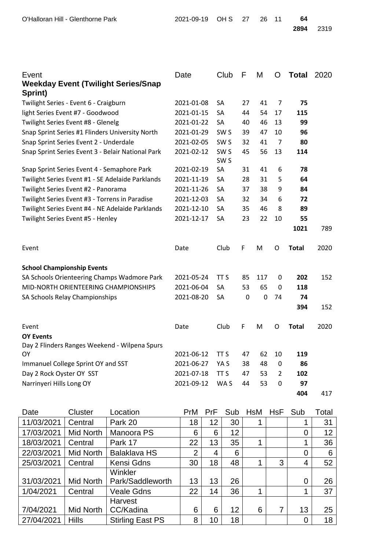| Event<br><b>Weekday Event (Twilight Series/Snap</b><br>Sprint) | Date       | Club                               | F  | M   | O        | <b>Total</b> | 2020 |
|----------------------------------------------------------------|------------|------------------------------------|----|-----|----------|--------------|------|
| Twilight Series - Event 6 - Craigburn                          | 2021-01-08 | SA                                 | 27 | 41  | 7        | 75           |      |
| light Series Event #7 - Goodwood                               | 2021-01-15 | <b>SA</b>                          | 44 | 54  | 17       | 115          |      |
| Twilight Series Event #8 - Glenelg                             | 2021-01-22 | SA                                 | 40 | 46  | 13       | 99           |      |
| Snap Sprint Series #1 Flinders University North                | 2021-01-29 | SW S                               | 39 | 47  | 10       | 96           |      |
| Snap Sprint Series Event 2 - Underdale                         | 2021-02-05 | SW <sub>S</sub>                    | 32 | 41  | 7        | 80           |      |
| Snap Sprint Series Event 3 - Belair National Park              | 2021-02-12 | SW <sub>S</sub><br>SW <sub>S</sub> | 45 | 56  | 13       | 114          |      |
| Snap Sprint Series Event 4 - Semaphore Park                    | 2021-02-19 | SA                                 | 31 | 41  | 6        | 78           |      |
| Twilight Series Event #1 - SE Adelaide Parklands               | 2021-11-19 | SA                                 | 28 | 31  | 5        | 64           |      |
| Twilight Series Event #2 - Panorama                            | 2021-11-26 | SA                                 | 37 | 38  | 9        | 84           |      |
| Twilight Series Event #3 - Torrens in Paradise                 | 2021-12-03 | SA                                 | 32 | 34  | 6        | 72           |      |
| Twilight Series Event #4 - NE Adelaide Parklands               | 2021-12-10 | <b>SA</b>                          | 35 | 46  | 8        | 89           |      |
| Twilight Series Event #5 - Henley                              | 2021-12-17 | SA                                 | 23 | 22  | 10       | 55           |      |
|                                                                |            |                                    |    |     |          | 1021         | 789  |
| Event                                                          | Date       | Club                               | F  | M   | O        | <b>Total</b> | 2020 |
| <b>School Championship Events</b>                              |            |                                    |    |     |          |              |      |
| SA Schools Orienteering Champs Wadmore Park                    | 2021-05-24 | TT S                               | 85 | 117 | 0        | 202          | 152  |
| MID-NORTH ORIENTEERING CHAMPIONSHIPS                           | 2021-06-04 | SA                                 | 53 | 65  | 0        | 118          |      |
| SA Schools Relay Championships                                 | 2021-08-20 | SA                                 | 0  | 0   | 74       | 74           |      |
|                                                                |            |                                    |    |     |          | 394          | 152  |
| Event<br><b>OY Events</b>                                      | Date       | Club                               | F  | M   | O        | <b>Total</b> | 2020 |
| Day 2 Flinders Ranges Weekend - Wilpena Spurs                  |            |                                    |    |     |          |              |      |
| OY                                                             | 2021-06-12 | TT <sub>S</sub>                    | 47 | 62  | 10       | 119          |      |
| Immanuel College Sprint OY and SST                             | 2021-06-27 | YA S                               | 38 | 48  | 0        | 86           |      |
| Day 2 Rock Oyster OY SST                                       | 2021-07-18 | TT <sub>S</sub>                    | 47 | 53  | 2        | 102          |      |
| Narrinyeri Hills Long OY                                       | 2021-09-12 | WA S                               | 44 | 53  | $\Omega$ | 97           |      |
|                                                                |            |                                    |    |     |          | 404          | 417  |
|                                                                |            |                                    |    |     |          |              |      |

| Date       | Cluster          | Location                | PrM            | PrF | Sub | <b>HsM</b> | $H$ s $F$ | Sub | Total |
|------------|------------------|-------------------------|----------------|-----|-----|------------|-----------|-----|-------|
| 11/03/2021 | Central          | Park 20                 | 18             | 12  | 30  |            |           |     | 31    |
| 17/03/2021 | Mid North        | Manoora PS              | 6              | 6   | 12  |            |           | 0   | 12    |
| 18/03/2021 | Central          | Park 17                 | 22             | 13  | 35  |            |           |     | 36    |
| 22/03/2021 | <b>Mid North</b> | <b>Balaklava HS</b>     | $\overline{2}$ | 4   | 6   |            |           | 0   | 6     |
| 25/03/2021 | Central          | Kensi Gdns              | 30             | 18  | 48  |            | 3         | 4   | 52    |
|            |                  | Winkler                 |                |     |     |            |           |     |       |
| 31/03/2021 | Mid North        | Park/Saddleworth        | 13             | 13  | 26  |            |           | 0   | 26    |
| 1/04/2021  | Central          | <b>Veale Gdns</b>       | 22             | 14  | 36  |            |           |     | 37    |
|            |                  | Harvest                 |                |     |     |            |           |     |       |
| 7/04/2021  | Mid North        | CC/Kadina               | 6              | 6   | 12  | 6          | 7         | 13  | 25    |
| 27/04/2021 | <b>Hills</b>     | <b>Stirling East PS</b> | 8              | 10  | 18  |            |           | 0   | 18    |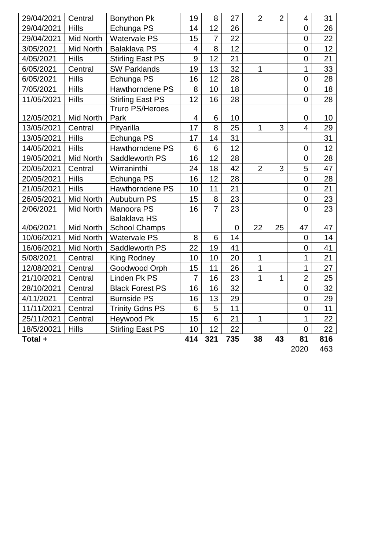| 29/04/2021 | Central          | <b>Bonython Pk</b>      | 19                       | 8              | 27  | $\overline{2}$ | $\overline{2}$ | 4              | 31  |
|------------|------------------|-------------------------|--------------------------|----------------|-----|----------------|----------------|----------------|-----|
| 29/04/2021 | <b>Hills</b>     | Echunga PS              | 14                       | 12             | 26  |                |                | $\mathbf 0$    | 26  |
| 29/04/2021 | <b>Mid North</b> | <b>Watervale PS</b>     | 15                       | 7              | 22  |                |                | $\mathbf 0$    | 22  |
| 3/05/2021  | <b>Mid North</b> | <b>Balaklava PS</b>     | $\overline{\mathcal{A}}$ | 8              | 12  |                |                | $\overline{0}$ | 12  |
| 4/05/2021  | <b>Hills</b>     | <b>Stirling East PS</b> | 9                        | 12             | 21  |                |                | $\mathbf 0$    | 21  |
| 6/05/2021  | Central          | <b>SW Parklands</b>     | 19                       | 13             | 32  | 1              |                | 1              | 33  |
| 6/05/2021  | <b>Hills</b>     | Echunga PS              | 16                       | 12             | 28  |                |                | $\overline{0}$ | 28  |
| 7/05/2021  | <b>Hills</b>     | <b>Hawthorndene PS</b>  | 8                        | 10             | 18  |                |                | $\mathbf 0$    | 18  |
| 11/05/2021 | <b>Hills</b>     | <b>Stirling East PS</b> | 12                       | 16             | 28  |                |                | $\overline{0}$ | 28  |
|            |                  | <b>Truro PS/Heroes</b>  |                          |                |     |                |                |                |     |
| 12/05/2021 | <b>Mid North</b> | Park                    | 4                        | 6              | 10  |                |                | 0              | 10  |
| 13/05/2021 | Central          | Pityarilla              | 17                       | 8              | 25  | $\mathbf{1}$   | 3              | 4              | 29  |
| 13/05/2021 | <b>Hills</b>     | Echunga PS              | 17                       | 14             | 31  |                |                |                | 31  |
| 14/05/2021 | <b>Hills</b>     | <b>Hawthorndene PS</b>  | 6                        | 6              | 12  |                |                | $\overline{0}$ | 12  |
| 19/05/2021 | <b>Mid North</b> | Saddleworth PS          | 16                       | 12             | 28  |                |                | $\overline{0}$ | 28  |
| 20/05/2021 | Central          | Wirraninthi             | 24                       | 18             | 42  | $\overline{2}$ | 3              | 5              | 47  |
| 20/05/2021 | <b>Hills</b>     | Echunga PS              | 16                       | 12             | 28  |                |                | $\overline{0}$ | 28  |
| 21/05/2021 | <b>Hills</b>     | Hawthorndene PS         | 10                       | 11             | 21  |                |                | $\mathbf 0$    | 21  |
| 26/05/2021 | <b>Mid North</b> | Aububurn PS             | 15                       | 8              | 23  |                |                | $\overline{0}$ | 23  |
| 2/06/2021  | <b>Mid North</b> | Manoora PS              | 16                       | $\overline{7}$ | 23  |                |                | $\overline{0}$ | 23  |
|            |                  | <b>Balaklava HS</b>     |                          |                |     |                |                |                |     |
| 4/06/2021  | <b>Mid North</b> | <b>School Champs</b>    |                          |                | 0   | 22             | 25             | 47             | 47  |
| 10/06/2021 | <b>Mid North</b> | <b>Watervale PS</b>     | 8                        | 6              | 14  |                |                | $\overline{0}$ | 14  |
| 16/06/2021 | <b>Mid North</b> | Saddleworth PS          | 22                       | 19             | 41  |                |                | $\mathbf 0$    | 41  |
| 5/08/2021  | Central          | <b>King Rodney</b>      | 10                       | 10             | 20  | 1              |                | 1              | 21  |
| 12/08/2021 | Central          | Goodwood Orph           | 15                       | 11             | 26  | 1              |                | 1              | 27  |
| 21/10/2021 | Central          | Linden Pk PS            | $\overline{7}$           | 16             | 23  | 1              | 1              | $\overline{2}$ | 25  |
| 28/10/2021 | Central          | <b>Black Forest PS</b>  | 16                       | 16             | 32  |                |                | $\overline{0}$ | 32  |
| 4/11/2021  | Central          | <b>Burnside PS</b>      | 16                       | 13             | 29  |                |                | $\overline{0}$ | 29  |
| 11/11/2021 | Central          | <b>Trinity Gdns PS</b>  | 6                        | 5              | 11  |                |                | 0              | 11  |
| 25/11/2021 | Central          | Heywood Pk              | 15                       | 6              | 21  | 1              |                | 1              | 22  |
| 18/5/20021 | <b>Hills</b>     | <b>Stirling East PS</b> | 10                       | 12             | 22  |                |                | $\mathbf 0$    | 22  |
| Total +    |                  |                         | 414                      | 321            | 735 | 38             | 43             | 81             | 816 |
|            |                  |                         |                          |                |     |                |                | 2020           | 463 |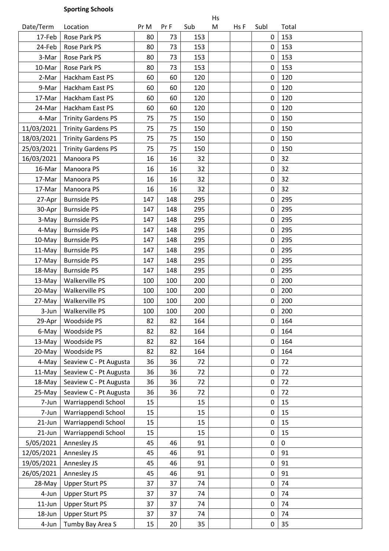## **Sporting Schools**

| Date/Term  | Location                  | Pr M | Pr F | Sub | M | Hs F | Subl             | Total     |
|------------|---------------------------|------|------|-----|---|------|------------------|-----------|
| 17-Feb     | Rose Park PS              | 80   | 73   | 153 |   |      | 0                | 153       |
| 24-Feb     | Rose Park PS              | 80   | 73   | 153 |   |      | $\mathbf 0$      | 153       |
| 3-Mar      | Rose Park PS              | 80   | 73   | 153 |   |      | $\mathbf 0$      | 153       |
| 10-Mar     | Rose Park PS              | 80   | 73   | 153 |   |      | 0                | 153       |
| 2-Mar      | Hackham East PS           | 60   | 60   | 120 |   |      | $\mathbf 0$      | 120       |
| 9-Mar      | Hackham East PS           | 60   | 60   | 120 |   |      | $\mathbf 0$      | 120       |
| 17-Mar     | Hackham East PS           | 60   | 60   | 120 |   |      | 0                | 120       |
| 24-Mar     | Hackham East PS           | 60   | 60   | 120 |   |      | $\mathbf 0$      | 120       |
| 4-Mar      | <b>Trinity Gardens PS</b> | 75   | 75   | 150 |   |      | 0                | 150       |
| 11/03/2021 | <b>Trinity Gardens PS</b> | 75   | 75   | 150 |   |      | $\mathbf 0$      | 150       |
| 18/03/2021 | <b>Trinity Gardens PS</b> | 75   | 75   | 150 |   |      | $\mathbf 0$      | 150       |
| 25/03/2021 | <b>Trinity Gardens PS</b> | 75   | 75   | 150 |   |      | $\mathbf 0$      | 150       |
| 16/03/2021 | Manoora PS                | 16   | 16   | 32  |   |      | $\mathbf 0$      | 32        |
| 16-Mar     | Manoora PS                | 16   | 16   | 32  |   |      | $\boldsymbol{0}$ | 32        |
| 17-Mar     | Manoora PS                | 16   | 16   | 32  |   |      | $\overline{0}$   | 32        |
| 17-Mar     | Manoora PS                | 16   | 16   | 32  |   |      | $\boldsymbol{0}$ | 32        |
| 27-Apr     | <b>Burnside PS</b>        | 147  | 148  | 295 |   |      | $\mathbf 0$      | 295       |
| 30-Apr     | <b>Burnside PS</b>        | 147  | 148  | 295 |   |      | $\mathbf 0$      | 295       |
| 3-May      | <b>Burnside PS</b>        | 147  | 148  | 295 |   |      | $\mathbf 0$      | 295       |
| 4-May      | <b>Burnside PS</b>        | 147  | 148  | 295 |   |      | $\mathbf 0$      | 295       |
| 10-May     | <b>Burnside PS</b>        | 147  | 148  | 295 |   |      | 0                | 295       |
| 11-May     | <b>Burnside PS</b>        | 147  | 148  | 295 |   |      | $\mathbf 0$      | 295       |
| 17-May     | <b>Burnside PS</b>        | 147  | 148  | 295 |   |      | $\mathbf 0$      | 295       |
| 18-May     | <b>Burnside PS</b>        | 147  | 148  | 295 |   |      | 0                | 295       |
| 13-May     | Walkerville PS            | 100  | 100  | 200 |   |      | $\mathbf 0$      | 200       |
| 20-May     | Walkerville PS            | 100  | 100  | 200 |   |      | $\boldsymbol{0}$ | 200       |
| 27-May     | Walkerville PS            | 100  | 100  | 200 |   |      | $\mathbf 0$      | 200       |
| 3-Jun      | Walkerville PS            | 100  | 100  | 200 |   |      | $\mathbf 0$      | 200       |
| 29-Apr     | Woodside PS               | 82   | 82   | 164 |   |      | $\boldsymbol{0}$ | 164       |
| 6-May      | Woodside PS               | 82   | 82   | 164 |   |      | 0                | 164       |
| 13-May     | Woodside PS               | 82   | 82   | 164 |   |      | $\boldsymbol{0}$ | 164       |
| 20-May     | Woodside PS               | 82   | 82   | 164 |   |      | $\mathbf 0$      | 164       |
| 4-May      | Seaview C - Pt Augusta    | 36   | 36   | 72  |   |      | $\boldsymbol{0}$ | 72        |
| 11-May     | Seaview C - Pt Augusta    | 36   | 36   | 72  |   |      | $\mathbf 0$      | 72        |
| 18-May     | Seaview C - Pt Augusta    | 36   | 36   | 72  |   |      | $\pmb{0}$        | 72        |
| 25-May     | Seaview C - Pt Augusta    | 36   | 36   | 72  |   |      | $\mathbf 0$      | 72        |
| 7-Jun      | Warriappendi School       | 15   |      | 15  |   |      | $\pmb{0}$        | 15        |
| 7-Jun      | Warriappendi School       | 15   |      | 15  |   |      | $\boldsymbol{0}$ | 15        |
|            | Warriappendi School       | 15   |      | 15  |   |      | $\mathbf 0$      | 15        |
| $21$ -Jun  | Warriappendi School       | 15   |      | 15  |   |      | $\boldsymbol{0}$ | 15        |
| $21$ -Jun  |                           |      |      |     |   |      | $\pmb{0}$        |           |
| 5/05/2021  | Annesley JS               | 45   | 46   | 91  |   |      |                  | $\pmb{0}$ |
| 12/05/2021 | Annesley JS               | 45   | 46   | 91  |   |      | $\mathbf 0$      | 91        |
| 19/05/2021 | Annesley JS               | 45   | 46   | 91  |   |      | $\boldsymbol{0}$ | 91        |
| 26/05/2021 | Annesley JS               | 45   | 46   | 91  |   |      | $\mathbf 0$      | 91        |
| 28-May     | <b>Upper Sturt PS</b>     | 37   | 37   | 74  |   |      | $\boldsymbol{0}$ | 74        |
| 4-Jun      | <b>Upper Sturt PS</b>     | 37   | 37   | 74  |   |      | $\mathbf 0$      | 74        |
| $11$ -Jun  | <b>Upper Sturt PS</b>     | 37   | 37   | 74  |   |      | $\mathbf 0$      | 74        |
| 18-Jun     | <b>Upper Sturt PS</b>     | 37   | 37   | 74  |   |      | $\pmb{0}$        | 74        |
| 4-Jun      | Tumby Bay Area S          | 15   | 20   | 35  |   |      | $\pmb{0}$        | 35        |

Hs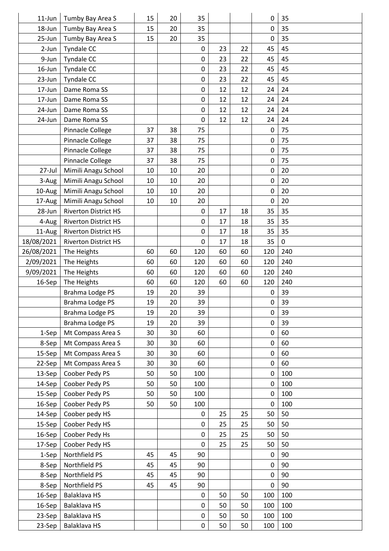| $11$ -Jun  | Tumby Bay Area S            | 15 | 20 | 35          |    |    | 0                | 35          |
|------------|-----------------------------|----|----|-------------|----|----|------------------|-------------|
| 18-Jun     | Tumby Bay Area S            | 15 | 20 | 35          |    |    | $\mathbf 0$      | 35          |
| 25-Jun     | Tumby Bay Area S            | 15 | 20 | 35          |    |    | $\mathbf 0$      | 35          |
| $2-Jun$    | Tyndale CC                  |    |    | 0           | 23 | 22 | 45               | 45          |
| 9-Jun      | Tyndale CC                  |    |    | 0           | 23 | 22 | 45               | 45          |
|            |                             |    |    |             | 23 | 22 | 45               | 45          |
| 16-Jun     | Tyndale CC                  |    |    | 0           |    |    |                  |             |
| $23$ -Jun  | Tyndale CC                  |    |    | 0           | 23 | 22 | 45               | 45          |
| 17-Jun     | Dame Roma SS                |    |    | 0           | 12 | 12 | 24               | 24          |
| 17-Jun     | Dame Roma SS                |    |    | 0           | 12 | 12 | 24               | 24          |
| 24-Jun     | Dame Roma SS                |    |    | 0           | 12 | 12 | 24               | 24          |
| 24-Jun     | Dame Roma SS                |    |    | 0           | 12 | 12 | 24               | 24          |
|            | Pinnacle College            | 37 | 38 | 75          |    |    | $\mathbf 0$      | 75          |
|            | Pinnacle College            | 37 | 38 | 75          |    |    | $\pmb{0}$        | 75          |
|            | Pinnacle College            | 37 | 38 | 75          |    |    | $\mathbf 0$      | 75          |
|            | Pinnacle College            | 37 | 38 | 75          |    |    | $\mathbf 0$      | 75          |
| 27-Jul     | Mimili Anagu School         | 10 | 10 | 20          |    |    | $\mathbf 0$      | 20          |
| 3-Aug      | Mimili Anagu School         | 10 | 10 | 20          |    |    | $\mathbf 0$      | 20          |
| 10-Aug     | Mimili Anagu School         | 10 | 10 | 20          |    |    | $\mathbf 0$      | 20          |
| 17-Aug     | Mimili Anagu School         | 10 | 10 | 20          |    |    | $\mathbf 0$      | 20          |
| 28-Jun     | <b>Riverton District HS</b> |    |    | 0           | 17 | 18 | 35               | 35          |
| 4-Aug      | <b>Riverton District HS</b> |    |    | 0           | 17 | 18 | 35               | 35          |
| 11-Aug     | <b>Riverton District HS</b> |    |    | 0           | 17 | 18 | 35               | 35          |
| 18/08/2021 | <b>Riverton District HS</b> |    |    | 0           | 17 | 18 | 35               | $\mathbf 0$ |
| 26/08/2021 | The Heights                 | 60 | 60 | 120         | 60 | 60 | 120              | 240         |
| 2/09/2021  | The Heights                 | 60 | 60 | 120         | 60 | 60 | 120              | 240         |
| 9/09/2021  | The Heights                 | 60 | 60 | 120         | 60 | 60 | 120              | 240         |
| 16-Sep     | The Heights                 | 60 | 60 | 120         | 60 | 60 | 120              | 240         |
|            | Brahma Lodge PS             | 19 | 20 | 39          |    |    | $\mathbf 0$      | 39          |
|            | Brahma Lodge PS             | 19 | 20 | 39          |    |    | 0                | 39          |
|            | Brahma Lodge PS             | 19 | 20 | 39          |    |    | $\mathbf 0$      | 39          |
|            | Brahma Lodge PS             | 19 | 20 | 39          |    |    | $\pmb{0}$        | 39          |
| 1-Sep      | Mt Compass Area S           | 30 | 30 | 60          |    |    | $\boldsymbol{0}$ | 60          |
| 8-Sep      | Mt Compass Area S           | 30 | 30 | 60          |    |    | $\pmb{0}$        | 60          |
| 15-Sep     | Mt Compass Area S           | 30 | 30 | 60          |    |    | $\mathbf 0$      | 60          |
| 22-Sep     | Mt Compass Area S           | 30 | 30 | 60          |    |    | $\pmb{0}$        | 60          |
| 13-Sep     | Coober Pedy PS              | 50 | 50 | 100         |    |    | $\pmb{0}$        | 100         |
| 14-Sep     | Coober Pedy PS              | 50 | 50 | 100         |    |    | $\mathbf 0$      | 100         |
| 15-Sep     | Coober Pedy PS              | 50 | 50 | 100         |    |    | $\mathbf 0$      | 100         |
| 16-Sep     | Coober Pedy PS              | 50 | 50 | 100         |    |    | $\mathbf 0$      | 100         |
| 14-Sep     | Coober pedy HS              |    |    | 0           | 25 | 25 | 50               | 50          |
| 15-Sep     | Coober Pedy HS              |    |    | 0           | 25 | 25 | 50               | 50          |
| 16-Sep     | Coober Pedy Hs              |    |    | $\pmb{0}$   | 25 | 25 | 50               | 50          |
| 17-Sep     | Coober Pedy HS              |    |    | 0           | 25 | 25 | 50               | 50          |
| 1-Sep      | Northfield PS               | 45 | 45 | 90          |    |    | $\mathbf 0$      | 90          |
| 8-Sep      | Northfield PS               | 45 | 45 | 90          |    |    | $\mathbf 0$      | 90          |
| 8-Sep      | Northfield PS               | 45 | 45 | 90          |    |    | $\pmb{0}$        | 90          |
|            | Northfield PS               | 45 | 45 | 90          |    |    | $\mathbf 0$      | 90          |
| 8-Sep      |                             |    |    |             |    |    |                  | 100         |
| 16-Sep     | Balaklava HS                |    |    | $\mathbf 0$ | 50 | 50 | 100              |             |
| 16-Sep     | Balaklava HS                |    |    | 0           | 50 | 50 | 100              | 100         |
| 23-Sep     | <b>Balaklava HS</b>         |    |    | 0           | 50 | 50 | 100              | 100         |
| 23-Sep     | Balaklava HS                |    |    | $\pmb{0}$   | 50 | 50 | 100              | 100         |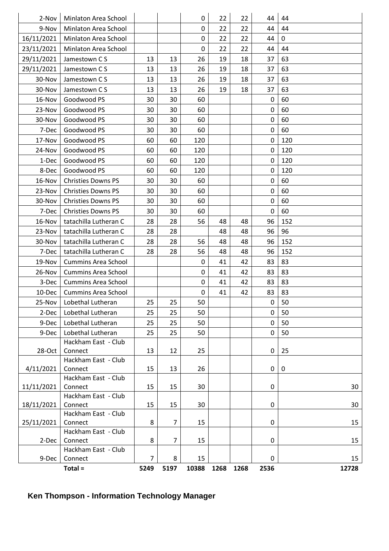| 2-Nov      | Minlaton Area School           |                |      | 0           | 22   | 22   | 44             | 44           |
|------------|--------------------------------|----------------|------|-------------|------|------|----------------|--------------|
| 9-Nov      | Minlaton Area School           |                |      | $\mathbf 0$ | 22   | 22   | 44             | 44           |
| 16/11/2021 | Minlaton Area School           |                |      | 0           | 22   | 22   | 44             | $\mathbf{0}$ |
| 23/11/2021 | Minlaton Area School           |                |      | 0           | 22   | 22   | 44             | 44           |
| 29/11/2021 | Jamestown CS                   | 13             | 13   | 26          | 19   | 18   | 37             | 63           |
| 29/11/2021 | Jamestown C S                  | 13             | 13   | 26          | 19   | 18   | 37             | 63           |
| 30-Nov     | Jamestown CS                   | 13             | 13   | 26          | 19   | 18   | 37             | 63           |
| 30-Nov     | Jamestown CS                   | 13             | 13   | 26          | 19   | 18   | 37             | 63           |
| 16-Nov     | Goodwood PS                    | 30             | 30   | 60          |      |      | 0              | 60           |
| 23-Nov     | Goodwood PS                    | 30             | 30   | 60          |      |      | 0              | 60           |
| 30-Nov     | Goodwood PS                    | 30             | 30   | 60          |      |      | 0              | 60           |
| 7-Dec      | Goodwood PS                    | 30             | 30   | 60          |      |      | $\overline{0}$ | 60           |
| 17-Nov     | Goodwood PS                    | 60             | 60   | 120         |      |      | 0              | 120          |
| 24-Nov     | Goodwood PS                    | 60             | 60   | 120         |      |      | 0              | 120          |
| 1-Dec      | Goodwood PS                    | 60             | 60   | 120         |      |      | 0              | 120          |
| 8-Dec      | Goodwood PS                    | 60             | 60   | 120         |      |      | 0              | 120          |
| 16-Nov     | <b>Christies Downs PS</b>      | 30             | 30   | 60          |      |      | 0              | 60           |
| 23-Nov     | <b>Christies Downs PS</b>      | 30             | 30   | 60          |      |      | 0              | 60           |
| 30-Nov     | <b>Christies Downs PS</b>      | 30             | 30   | 60          |      |      | 0              | 60           |
| 7-Dec      | <b>Christies Downs PS</b>      | 30             | 30   | 60          |      |      | $\mathbf 0$    | 60           |
| 16-Nov     | tatachilla Lutheran C          | 28             | 28   | 56          | 48   | 48   | 96             | 152          |
| 23-Nov     | tatachilla Lutheran C          | 28             | 28   |             | 48   | 48   | 96             | 96           |
| 30-Nov     | tatachilla Lutheran C          | 28             | 28   | 56          | 48   | 48   | 96             | 152          |
| 7-Dec      | tatachilla Lutheran C          | 28             | 28   | 56          | 48   | 48   | 96             | 152          |
| 19-Nov     | <b>Cummins Area School</b>     |                |      | 0           | 41   | 42   | 83             | 83           |
| 26-Nov     | <b>Cummins Area School</b>     |                |      | $\mathbf 0$ | 41   | 42   | 83             | 83           |
| 3-Dec      | <b>Cummins Area School</b>     |                |      | 0           | 41   | 42   | 83             | 83           |
| 10-Dec     | <b>Cummins Area School</b>     |                |      | 0           | 41   | 42   | 83             | 83           |
| 25-Nov     | Lobethal Lutheran              | 25             | 25   | 50          |      |      | 0              | 50           |
| 2-Dec      | Lobethal Lutheran              | 25             | 25   | 50          |      |      | 0              | 50           |
| 9-Dec      | Lobethal Lutheran              | 25             | 25   | 50          |      |      | 0              | 50           |
| 9-Dec      | Lobethal Lutheran              | 25             | 25   | 50          |      |      | 0              | 50           |
|            | Hackham East - Club            |                |      |             |      |      |                |              |
| 28-Oct     | Connect                        | 13             | 12   | 25          |      |      | 0              | 25           |
|            | Hackham East - Club            |                |      |             |      |      |                |              |
| 4/11/2021  | Connect                        | 15             | 13   | 26          |      |      | 0              | 0            |
|            | Hackham East - Club            |                |      |             |      |      |                |              |
| 11/11/2021 | Connect<br>Hackham East - Club | 15             | 15   | 30          |      |      | $\pmb{0}$      | 30           |
| 18/11/2021 | Connect                        | 15             | 15   | 30          |      |      | 0              | 30           |
|            | Hackham East - Club            |                |      |             |      |      |                |              |
| 25/11/2021 | Connect                        | 8              | 7    | 15          |      |      | 0              | 15           |
|            | Hackham East - Club            |                |      |             |      |      |                |              |
| 2-Dec      | Connect                        | 8              | 7    | 15          |      |      | 0              | 15           |
|            | Hackham East - Club            |                |      |             |      |      |                |              |
| 9-Dec      | Connect                        | $\overline{7}$ | 8    | 15          |      |      | $\mathbf 0$    | 15           |
|            | Total =                        | 5249           | 5197 | 10388       | 1268 | 1268 | 2536           | 12728        |

## **Ken Thompson - Information Technology Manager**